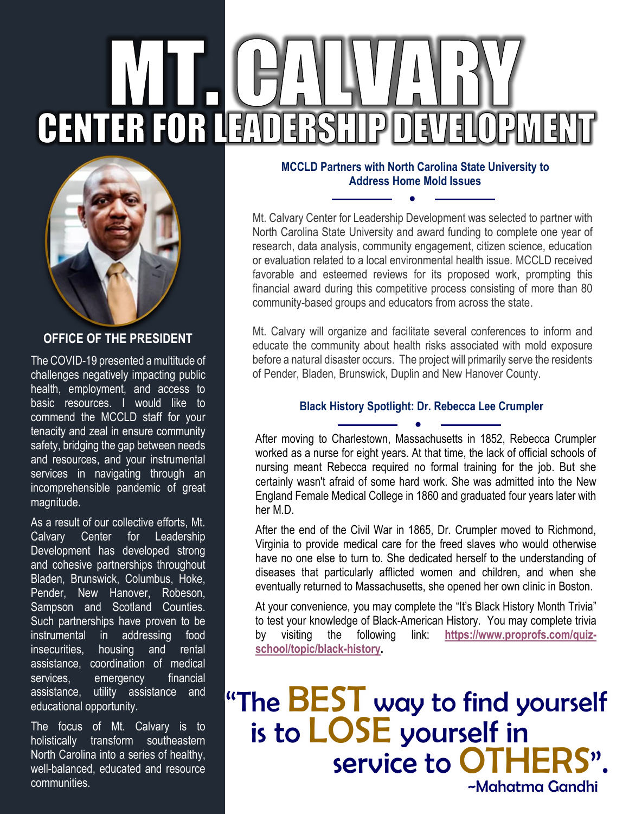# **CENTER FOR LEADERSH IP DEVI** ┨  $\mathbf{p}$



#### **OFFICE OF THE PRESIDENT**

The COVID-19 presented a multitude of challenges negatively impacting public health, employment, and access to basic resources. I would like to commend the MCCLD staff for your tenacity and zeal in ensure community safety, bridging the gap between needs and resources, and your instrumental services in navigating through an incomprehensible pandemic of great magnitude.

As a result of our collective efforts, Mt. Calvary Center for Leadership Development has developed strong and cohesive partnerships throughout Bladen, Brunswick, Columbus, Hoke, Pender, New Hanover, Robeson, Sampson and Scotland Counties. Such partnerships have proven to be instrumental in addressing food insecurities, housing and rental assistance, coordination of medical services, emergency financial assistance, utility assistance and educational opportunity.

The focus of Mt. Calvary is to holistically transform southeastern North Carolina into a series of healthy, well-balanced, educated and resource communities.

#### **MCCLD Partners with North Carolina State University to Address Home Mold Issues**

●

Mt. Calvary Center for Leadership Development was selected to partner with North Carolina State University and award funding to complete one year of research, data analysis, community engagement, citizen science, education or evaluation related to a local environmental health issue. MCCLD received favorable and esteemed reviews for its proposed work, prompting this financial award during this competitive process consisting of more than 80 community-based groups and educators from across the state.

Mt. Calvary will organize and facilitate several conferences to inform and educate the community about health risks associated with mold exposure before a natural disaster occurs. The project will primarily serve the residents of Pender, Bladen, Brunswick, Duplin and New Hanover County.

#### **Black History Spotlight: Dr. Rebecca Lee Crumpler**  ●

After moving to Charlestown, Massachusetts in 1852, Rebecca Crumpler worked as a nurse for eight years. At that time, the lack of official schools of nursing meant Rebecca required no formal training for the job. But she certainly wasn't afraid of some hard work. She was admitted into the New England Female Medical College in 1860 and graduated four years later with her M.D.

After the end of the Civil War in 1865, Dr. Crumpler moved to Richmond, Virginia to provide medical care for the freed slaves who would otherwise have no one else to turn to. She dedicated herself to the understanding of diseases that particularly afflicted women and children, and when she eventually returned to Massachusetts, she opened her own clinic in Boston.

At your convenience, you may complete the "It's Black History Month Trivia" to test your knowledge of Black-American History. You may complete trivia by visiting the following link: **[https://www.proprofs.com/quiz](https://www.proprofs.com/quiz-school/topic/black-history)[school/topic/black-history.](https://www.proprofs.com/quiz-school/topic/black-history)**

## "The **BEST** way to find yourself is to LOSE yourself in service to OTHEI ~Mahatma Gandhi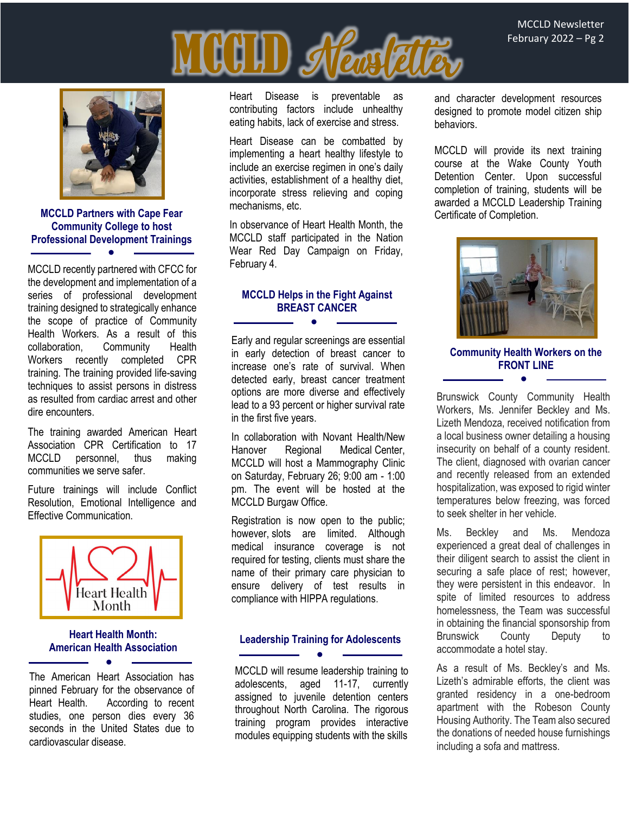



**MCCLD Partners with Cape Fear Community College to host Professional Development Trainings** ●

MCCLD recently partnered with CFCC for the development and implementation of a series of professional development training designed to strategically enhance the scope of practice of Community Health Workers. As a result of this collaboration, Community Health Workers recently completed CPR training. The training provided life-saving techniques to assist persons in distress as resulted from cardiac arrest and other dire encounters.

The training awarded American Heart Association CPR Certification to 17<br>MCCLD personnel. thus making personnel, thus making communities we serve safer.

Future trainings will include Conflict Resolution, Emotional Intelligence and Effective Communication.



#### **Heart Health Month: American Health Association**

●

The American Heart Association has pinned February for the observance of Heart Health. According to recent studies, one person dies every 36 seconds in the United States due to cardiovascular disease.

Heart Disease is preventable as contributing factors include unhealthy eating habits, lack of exercise and stress.

Heart Disease can be combatted by implementing a heart healthy lifestyle to include an exercise regimen in one's daily activities, establishment of a healthy diet, incorporate stress relieving and coping mechanisms, etc.

In observance of Heart Health Month, the MCCLD staff participated in the Nation Wear Red Day Campaign on Friday, February 4.

#### **MCCLD Helps in the Fight Against BREAST CANCER**

●

Early and regular screenings are essential in early detection of breast cancer to increase one's rate of survival. When detected early, breast cancer treatment options are more diverse and effectively lead to a 93 percent or higher survival rate in the first five years.

In collaboration with Novant Health/New Hanover Regional Medical Center, MCCLD will host a Mammography Clinic on Saturday, February 26; 9:00 am - 1:00 pm. The event will be hosted at the MCCLD Burgaw Office.

Registration is now open to the public; however, slots are limited. Although medical insurance coverage is not required for testing, clients must share the name of their primary care physician to ensure delivery of test results in compliance with HIPPA regulations.

#### **Leadership Training for Adolescents**  ●

MCCLD will resume leadership training to adolescents, aged 11-17, currently assigned to juvenile detention centers throughout North Carolina. The rigorous training program provides interactive modules equipping students with the skills and character development resources designed to promote model citizen ship behaviors.

MCCLD will provide its next training course at the Wake County Youth Detention Center. Upon successful completion of training, students will be awarded a MCCLD Leadership Training Certificate of Completion.



#### **Community Health Workers on the FRONT LINE**  ●

Brunswick County Community Health Workers, Ms. Jennifer Beckley and Ms. Lizeth Mendoza, received notification from a local business owner detailing a housing insecurity on behalf of a county resident. The client, diagnosed with ovarian cancer and recently released from an extended hospitalization, was exposed to rigid winter temperatures below freezing, was forced to seek shelter in her vehicle.

Ms. Beckley and Ms. Mendoza experienced a great deal of challenges in their diligent search to assist the client in securing a safe place of rest; however, they were persistent in this endeavor. In spite of limited resources to address homelessness, the Team was successful in obtaining the financial sponsorship from Brunswick County Deputy to accommodate a hotel stay.

As a result of Ms. Beckley's and Ms. Lizeth's admirable efforts, the client was granted residency in a one-bedroom apartment with the Robeson County Housing Authority. The Team also secured the donations of needed house furnishings including a sofa and mattress.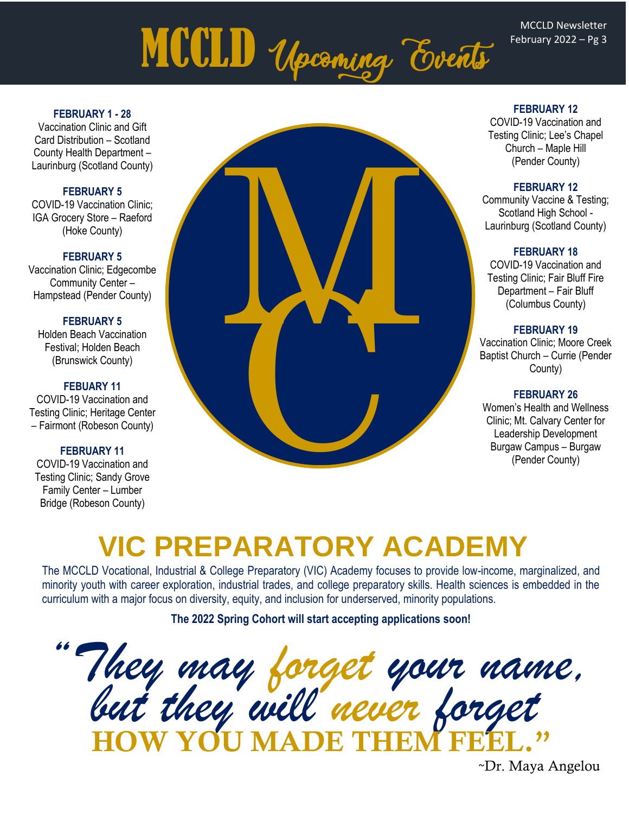# MCCLD Upcoming Events

#### **FEBRUARY 1 - 28**

Vaccination Clinic and Gift Card Distribution – Scotland County Health Department – Laurinburg (Scotland County)

#### **FEBRUARY 5**

COVID-19 Vaccination Clinic; IGA Grocery Store – Raeford (Hoke County)

#### **FEBRUARY 5**

Vaccination Clinic; Edgecombe Community Center – Hampstead (Pender County)

#### **FEBRUARY 5**

Holden Beach Vaccination Festival; Holden Beach (Brunswick County)

#### **FEBUARY 11**

COVID-19 Vaccination and Testing Clinic; Heritage Center – Fairmont (Robeson County)

#### **FEBRUARY 11**

COVID-19 Vaccination and Testing Clinic; Sandy Grove Family Center – Lumber Bridge (Robeson County)



#### **FEBRUARY 12**

COVID-19 Vaccination and Testing Clinic; Lee's Chapel Church – Maple Hill (Pender County)

#### **FEBRUARY 12**

Community Vaccine & Testing; Scotland High School - Laurinburg (Scotland County)

#### **FEBRUARY 18**

COVID-19 Vaccination and Testing Clinic; Fair Bluff Fire Department – Fair Bluff (Columbus County)

#### **FEBRUARY 19**

Vaccination Clinic; Moore Creek Baptist Church – Currie (Pender County)

#### **FEBRUARY 26**

Women's Health and Wellness Clinic; Mt. Calvary Center for Leadership Development Burgaw Campus – Burgaw (Pender County)

## **VIC PREPARATORY ACADEMY**

The MCCLD Vocational, Industrial & College Preparatory (VIC) Academy focuses to provide low-income, marginalized, and minority youth with career exploration, industrial trades, and college preparatory skills. Health sciences is embedded in the curriculum with a major focus on diversity, equity, and inclusion for underserved, minority populations.

**The 2022 Spring Cohort will start accepting applications soon!**

*"They may forget your name, but they will never forget* HOW YOU MADE THEM FEEL."

~Dr. Maya Angelou